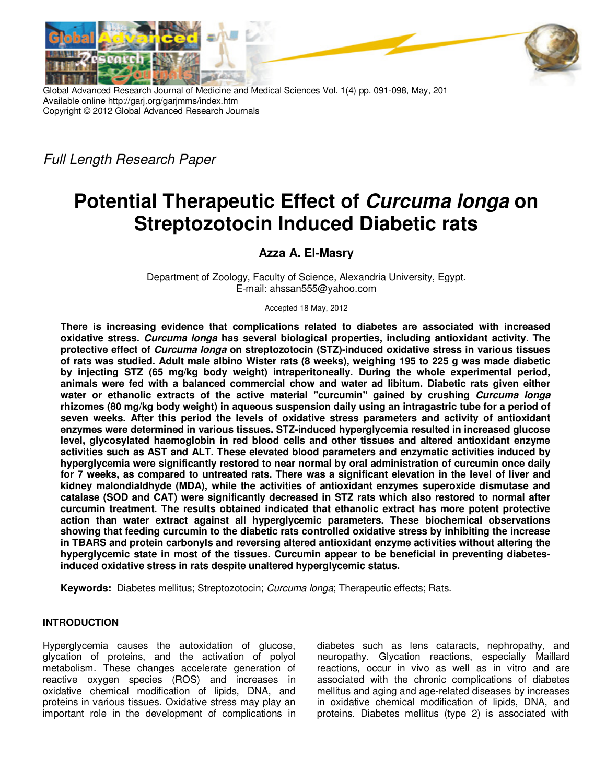

Global Advanced Research Journal of Medicine and Medical Sciences Vol. 1(4) pp. 091-098, May, 201 Available online http://garj.org/garjmms/index.htm Copyright © 2012 Global Advanced Research Journals

Full Length Research Paper

# **Potential Therapeutic Effect of Curcuma longa on Streptozotocin Induced Diabetic rats**

# **Azza A. El-Masry**

Department of Zoology, Faculty of Science, Alexandria University, Egypt. E-mail: ahssan555@yahoo.com

Accepted 18 May, 2012

**There is increasing evidence that complications related to diabetes are associated with increased oxidative stress. Curcuma longa has several biological properties, including antioxidant activity. The protective effect of Curcuma longa on streptozotocin (STZ)-induced oxidative stress in various tissues of rats was studied. Adult male albino Wister rats (8 weeks), weighing 195 to 225 g was made diabetic by injecting STZ (65 mg/kg body weight) intraperitoneally. During the whole experimental period, animals were fed with a balanced commercial chow and water ad libitum. Diabetic rats given either water or ethanolic extracts of the active material "curcumin" gained by crushing Curcuma longa rhizomes (80 mg/kg body weight) in aqueous suspension daily using an intragastric tube for a period of seven weeks. After this period the levels of oxidative stress parameters and activity of antioxidant enzymes were determined in various tissues. STZ-induced hyperglycemia resulted in increased glucose level, glycosylated haemoglobin in red blood cells and other tissues and altered antioxidant enzyme activities such as AST and ALT. These elevated blood parameters and enzymatic activities induced by hyperglycemia were significantly restored to near normal by oral administration of curcumin once daily for 7 weeks, as compared to untreated rats. There was a significant elevation in the level of liver and kidney malondialdhyde (MDA), while the activities of antioxidant enzymes superoxide dismutase and catalase (SOD and CAT) were significantly decreased in STZ rats which also restored to normal after curcumin treatment. The results obtained indicated that ethanolic extract has more potent protective action than water extract against all hyperglycemic parameters. These biochemical observations showing that feeding curcumin to the diabetic rats controlled oxidative stress by inhibiting the increase in TBARS and protein carbonyls and reversing altered antioxidant enzyme activities without altering the hyperglycemic state in most of the tissues. Curcumin appear to be beneficial in preventing diabetesinduced oxidative stress in rats despite unaltered hyperglycemic status.** 

**Keywords:** Diabetes mellitus; Streptozotocin; Curcuma longa; Therapeutic effects; Rats.

# **INTRODUCTION**

Hyperglycemia causes the autoxidation of glucose, glycation of proteins, and the activation of polyol metabolism. These changes accelerate generation of reactive oxygen species (ROS) and increases in oxidative chemical modification of lipids, DNA, and proteins in various tissues. Oxidative stress may play an important role in the development of complications in

diabetes such as lens cataracts, nephropathy, and neuropathy. Glycation reactions, especially Maillard reactions, occur in vivo as well as in vitro and are associated with the chronic complications of diabetes mellitus and aging and age-related diseases by increases in oxidative chemical modification of lipids, DNA, and proteins. Diabetes mellitus (type 2) is associated with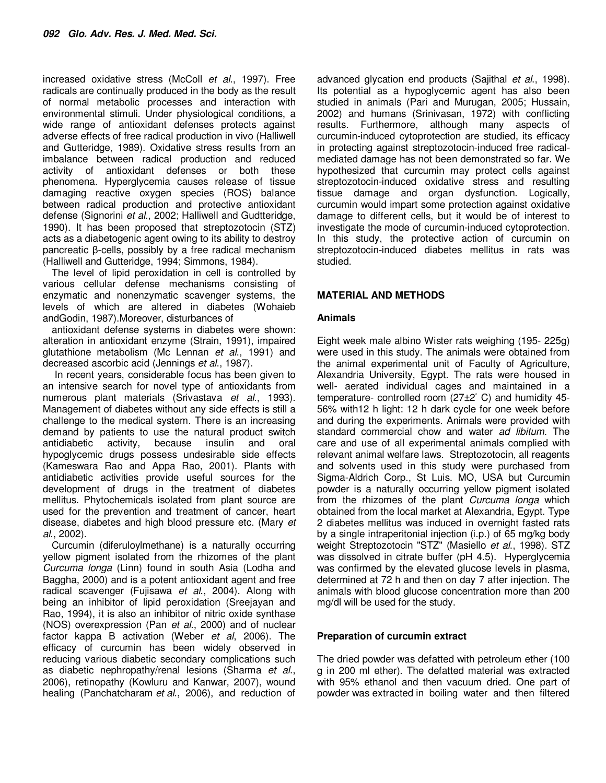increased oxidative stress (McColl et al., 1997). Free radicals are continually produced in the body as the result of normal metabolic processes and interaction with environmental stimuli. Under physiological conditions, a wide range of antioxidant defenses protects against adverse effects of free radical production in vivo (Halliwell and Gutteridge, 1989). Oxidative stress results from an imbalance between radical production and reduced activity of antioxidant defenses or both these phenomena. Hyperglycemia causes release of tissue damaging reactive oxygen species (ROS) balance between radical production and protective antioxidant defense (Signorini et al., 2002; Halliwell and Gudtteridge, 1990). It has been proposed that streptozotocin (STZ) acts as a diabetogenic agent owing to its ability to destroy pancreatic β-cells, possibly by a free radical mechanism (Halliwell and Gutteridge, 1994; Simmons, 1984).

The level of lipid peroxidation in cell is controlled by various cellular defense mechanisms consisting of enzymatic and nonenzymatic scavenger systems, the levels of which are altered in diabetes (Wohaieb andGodin, 1987).Moreover, disturbances of

antioxidant defense systems in diabetes were shown: alteration in antioxidant enzyme (Strain, 1991), impaired glutathione metabolism (Mc Lennan et al., 1991) and decreased ascorbic acid (Jennings et al., 1987).

 In recent years, considerable focus has been given to an intensive search for novel type of antioxidants from numerous plant materials (Srivastava et al., 1993). Management of diabetes without any side effects is still a challenge to the medical system. There is an increasing demand by patients to use the natural product switch antidiabetic activity, because insulin and oral hypoglycemic drugs possess undesirable side effects (Kameswara Rao and Appa Rao, 2001). Plants with antidiabetic activities provide useful sources for the development of drugs in the treatment of diabetes mellitus. Phytochemicals isolated from plant source are used for the prevention and treatment of cancer, heart disease, diabetes and high blood pressure etc. (Mary et al., 2002).

Curcumin (diferuloylmethane) is a naturally occurring yellow pigment isolated from the rhizomes of the plant Curcuma longa (Linn) found in south Asia (Lodha and Baggha, 2000) and is a potent antioxidant agent and free radical scavenger (Fujisawa et al., 2004). Along with being an inhibitor of lipid peroxidation (Sreejayan and Rao, 1994), it is also an inhibitor of nitric oxide synthase (NOS) overexpression (Pan et al., 2000) and of nuclear factor kappa B activation (Weber et al, 2006). The efficacy of curcumin has been widely observed in reducing various diabetic secondary complications such as diabetic nephropathy/renal lesions (Sharma et al., 2006), retinopathy (Kowluru and Kanwar, 2007), wound healing (Panchatcharam et al., 2006), and reduction of

advanced glycation end products (Sajithal et al., 1998). Its potential as a hypoglycemic agent has also been studied in animals (Pari and Murugan, 2005; Hussain, 2002) and humans (Srinivasan, 1972) with conflicting results. Furthermore, although many aspects of curcumin-induced cytoprotection are studied, its efficacy in protecting against streptozotocin-induced free radicalmediated damage has not been demonstrated so far. We hypothesized that curcumin may protect cells against streptozotocin-induced oxidative stress and resulting tissue damage and organ dysfunction. Logically, curcumin would impart some protection against oxidative damage to different cells, but it would be of interest to investigate the mode of curcumin-induced cytoprotection. In this study, the protective action of curcumin on streptozotocin-induced diabetes mellitus in rats was studied.

# **MATERIAL AND METHODS**

#### **Animals**

Eight week male albino Wister rats weighing (195- 225g) were used in this study. The animals were obtained from the animal experimental unit of Faculty of Agriculture, Alexandria University, Egypt. The rats were housed in well- aerated individual cages and maintained in a temperature- controlled room (27±2◦ C) and humidity 45- 56% with12 h light: 12 h dark cycle for one week before and during the experiments. Animals were provided with standard commercial chow and water ad libitum. The care and use of all experimental animals complied with relevant animal welfare laws. Streptozotocin, all reagents and solvents used in this study were purchased from Sigma-Aldrich Corp., St Luis. MO, USA but Curcumin powder is a naturally occurring yellow pigment isolated from the rhizomes of the plant Curcuma longa which obtained from the local market at Alexandria, Egypt. Type 2 diabetes mellitus was induced in overnight fasted rats by a single intraperitonial injection (i.p.) of 65 mg/kg body weight Streptozotocin "STZ" (Masiello et al., 1998). STZ was dissolved in citrate buffer (pH 4.5). Hyperglycemia was confirmed by the elevated glucose levels in plasma, determined at 72 h and then on day 7 after injection. The animals with blood glucose concentration more than 200 mg/dl will be used for the study.

#### **Preparation of curcumin extract**

The dried powder was defatted with petroleum ether (100 g in 200 ml ether). The defatted material was extracted with 95% ethanol and then vacuum dried. One part of powder was extracted in boiling water and then filtered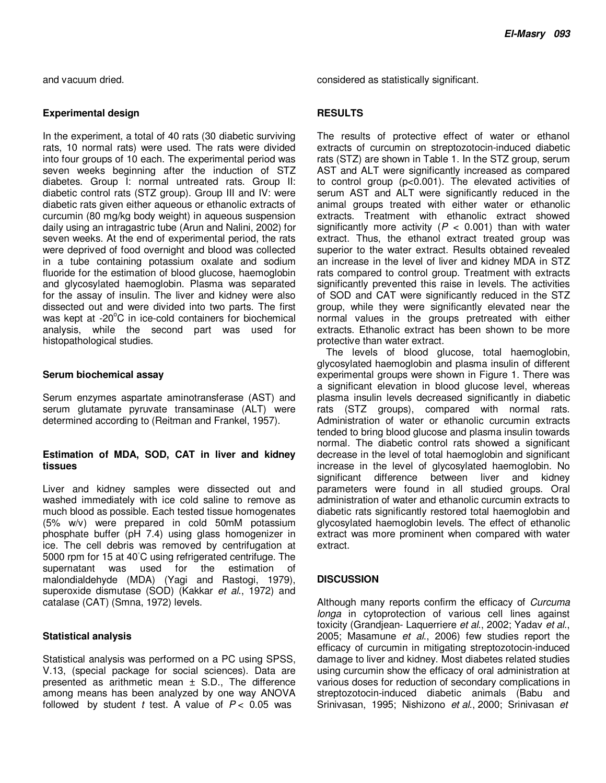and vacuum dried.

#### **Experimental design**

In the experiment, a total of 40 rats (30 diabetic surviving rats, 10 normal rats) were used. The rats were divided into four groups of 10 each. The experimental period was seven weeks beginning after the induction of STZ diabetes. Group I: normal untreated rats. Group II: diabetic control rats (STZ group). Group III and IV: were diabetic rats given either aqueous or ethanolic extracts of curcumin (80 mg/kg body weight) in aqueous suspension daily using an intragastric tube (Arun and Nalini, 2002) for seven weeks. At the end of experimental period, the rats were deprived of food overnight and blood was collected in a tube containing potassium oxalate and sodium fluoride for the estimation of blood glucose, haemoglobin and glycosylated haemoglobin. Plasma was separated for the assay of insulin. The liver and kidney were also dissected out and were divided into two parts. The first was kept at  $-20^{\circ}$ C in ice-cold containers for biochemical analysis, while the second part was used for histopathological studies.

#### **Serum biochemical assay**

Serum enzymes aspartate aminotransferase (AST) and serum glutamate pyruvate transaminase (ALT) were determined according to (Reitman and Frankel, 1957).

#### **Estimation of MDA, SOD, CAT in liver and kidney tissues**

Liver and kidney samples were dissected out and washed immediately with ice cold saline to remove as much blood as possible. Each tested tissue homogenates (5% w/v) were prepared in cold 50mM potassium phosphate buffer (pH 7.4) using glass homogenizer in ice. The cell debris was removed by centrifugation at 5000 rpm for 15 at 40◦C using refrigerated centrifuge. The supernatant was used for the estimation of malondialdehyde (MDA) (Yagi and Rastogi, 1979), superoxide dismutase (SOD) (Kakkar et al., 1972) and catalase (CAT) (Smna, 1972) levels.

#### **Statistical analysis**

Statistical analysis was performed on a PC using SPSS, V.13, (special package for social sciences). Data are presented as arithmetic mean  $\pm$  S.D., The difference among means has been analyzed by one way ANOVA followed by student t test. A value of  $P < 0.05$  was

considered as statistically significant.

# **RESULTS**

The results of protective effect of water or ethanol extracts of curcumin on streptozotocin-induced diabetic rats (STZ) are shown in Table 1. In the STZ group, serum AST and ALT were significantly increased as compared to control group  $(p<0.001)$ . The elevated activities of serum AST and ALT were significantly reduced in the animal groups treated with either water or ethanolic extracts. Treatment with ethanolic extract showed significantly more activity ( $P < 0.001$ ) than with water extract. Thus, the ethanol extract treated group was superior to the water extract. Results obtained revealed an increase in the level of liver and kidney MDA in STZ rats compared to control group. Treatment with extracts significantly prevented this raise in levels. The activities of SOD and CAT were significantly reduced in the STZ group, while they were significantly elevated near the normal values in the groups pretreated with either extracts. Ethanolic extract has been shown to be more protective than water extract.

The levels of blood glucose, total haemoglobin, glycosylated haemoglobin and plasma insulin of different experimental groups were shown in Figure 1. There was a significant elevation in blood glucose level, whereas plasma insulin levels decreased significantly in diabetic rats (STZ groups), compared with normal rats. Administration of water or ethanolic curcumin extracts tended to bring blood glucose and plasma insulin towards normal. The diabetic control rats showed a significant decrease in the level of total haemoglobin and significant increase in the level of glycosylated haemoglobin. No significant difference between liver and kidney parameters were found in all studied groups. Oral administration of water and ethanolic curcumin extracts to diabetic rats significantly restored total haemoglobin and glycosylated haemoglobin levels. The effect of ethanolic extract was more prominent when compared with water extract.

# **DISCUSSION**

Although many reports confirm the efficacy of Curcuma longa in cytoprotection of various cell lines against toxicity (Grandjean- Laquerriere et al., 2002; Yadav et al., 2005; Masamune et al., 2006) few studies report the efficacy of curcumin in mitigating streptozotocin-induced damage to liver and kidney. Most diabetes related studies using curcumin show the efficacy of oral administration at various doses for reduction of secondary complications in streptozotocin-induced diabetic animals (Babu and Srinivasan, 1995; Nishizono et al., 2000; Srinivasan et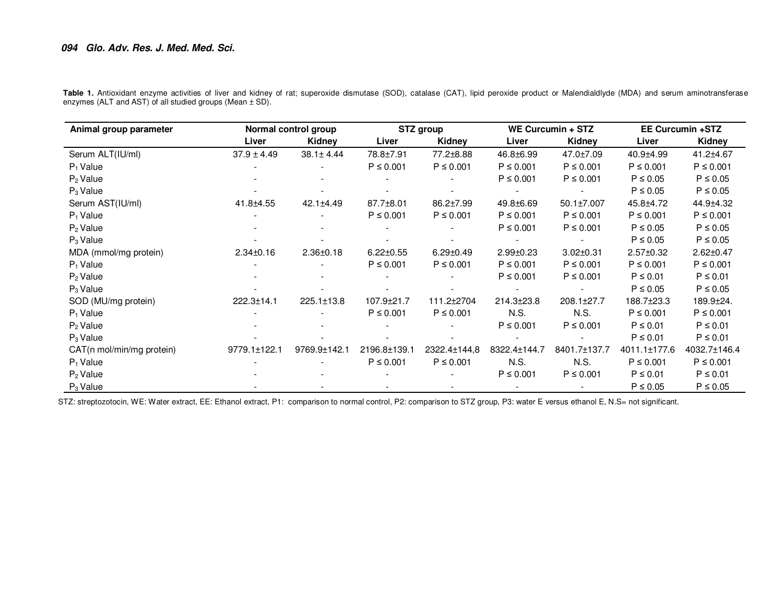# **094 Glo. Adv. Res. J. Med. Med. Sci.**

Table 1. Antioxidant enzyme activities of liver and kidney of rat; superoxide dismutase (SOD), catalase (CAT), lipid peroxide product or Malendialdlyde (MDA) and serum aminotransferase enzymes (ALT and AST) of all studied groups (Mean ± SD).

| Animal group parameter    | Normal control group |                 | STZ group       |                 | WE Curcumin + STZ |                  | EE Curcumin +STZ |                 |
|---------------------------|----------------------|-----------------|-----------------|-----------------|-------------------|------------------|------------------|-----------------|
|                           | Liver                | <b>Kidney</b>   | Liver           | Kidney          | Liver             | Kidney           | Liver            | Kidney          |
| Serum ALT(IU/ml)          | $37.9 \pm 4.49$      | $38.1 \pm 4.44$ | 78.8±7.91       | 77.2±8.88       | 46.8±6.99         | 47.0±7.09        | 40.9±4.99        | 41.2±4.67       |
| $P_1$ Value               |                      |                 | $P \leq 0.001$  | $P \leq 0.001$  | $P \le 0.001$     | $P \leq 0.001$   | $P \leq 0.001$   | $P \le 0.001$   |
| $P_2$ Value               |                      |                 |                 |                 | $P \le 0.001$     | $P \le 0.001$    | $P \le 0.05$     | $P \leq 0.05$   |
| $P_3$ Value               |                      |                 |                 |                 |                   |                  | $P \le 0.05$     | $P \leq 0.05$   |
| Serum AST(IU/ml)          | 41.8±4.55            | 42.1±4.49       | 87.7±8.01       | 86.2±7.99       | 49.8±6.69         | $50.1 \pm 7.007$ | 45.8±4.72        | 44.9±4.32       |
| $P_1$ Value               |                      |                 | $P \le 0.001$   | $P \le 0.001$   | $P \le 0.001$     | $P \le 0.001$    | $P \le 0.001$    | $P \le 0.001$   |
| $P_2$ Value               |                      |                 |                 |                 | $P \le 0.001$     | $P \leq 0.001$   | $P \le 0.05$     | $P \leq 0.05$   |
| $P_3$ Value               |                      |                 |                 |                 |                   |                  | $P \le 0.05$     | $P \le 0.05$    |
| MDA (mmol/mg protein)     | $2.34 \pm 0.16$      | $2.36 \pm 0.18$ | $6.22 \pm 0.55$ | $6.29 \pm 0.49$ | $2.99 \pm 0.23$   | $3.02 \pm 0.31$  | $2.57 \pm 0.32$  | $2.62 \pm 0.47$ |
| $P_1$ Value               |                      |                 | $P \leq 0.001$  | $P \leq 0.001$  | $P \le 0.001$     | $P \leq 0.001$   | $P \leq 0.001$   | $P \leq 0.001$  |
| $P_2$ Value               |                      |                 |                 |                 | $P \le 0.001$     | $P \le 0.001$    | $P \leq 0.01$    | $P \leq 0.01$   |
| $P_3$ Value               |                      |                 |                 |                 |                   |                  | $P \le 0.05$     | $P \leq 0.05$   |
| SOD (MU/mg protein)       | 222.3±14.1           | 225.1±13.8      | 107.9±21.7      | 111.2±2704      | 214.3±23.8        | 208.1±27.7       | 188.7±23.3       | 189.9±24.       |
| $P_1$ Value               |                      |                 | $P \le 0.001$   | $P \le 0.001$   | N.S.              | N.S.             | $P \leq 0.001$   | $P \leq 0.001$  |
| $P_2$ Value               |                      |                 |                 |                 | $P \le 0.001$     | $P \leq 0.001$   | $P \leq 0.01$    | $P \leq 0.01$   |
| $P_3$ Value               |                      |                 |                 |                 |                   |                  | $P \leq 0.01$    | $P \leq 0.01$   |
| CAT(n mol/min/mg protein) | $9779.1 \pm 122.1$   | 9769.9±142.1    | 2196.8±139.1    | 2322.4±144,8    | 8322.4±144.7      | 8401.7±137.7     | 4011.1±177.6     | 4032.7±146.4    |
| $P_1$ Value               |                      |                 | $P \leq 0.001$  | $P \leq 0.001$  | N.S.              | N.S.             | $P \le 0.001$    | $P \le 0.001$   |
| $P_2$ Value               |                      |                 |                 |                 | $P \le 0.001$     | $P \le 0.001$    | $P \leq 0.01$    | $P \leq 0.01$   |
| $P_3$ Value               |                      |                 |                 |                 |                   |                  | $P \le 0.05$     | $P \leq 0.05$   |

STZ: streptozotocin, WE: Water extract, EE: Ethanol extract, P1: comparison to normal control, P2: comparison to STZ group, P3: water E versus ethanol E, N.S= not significant.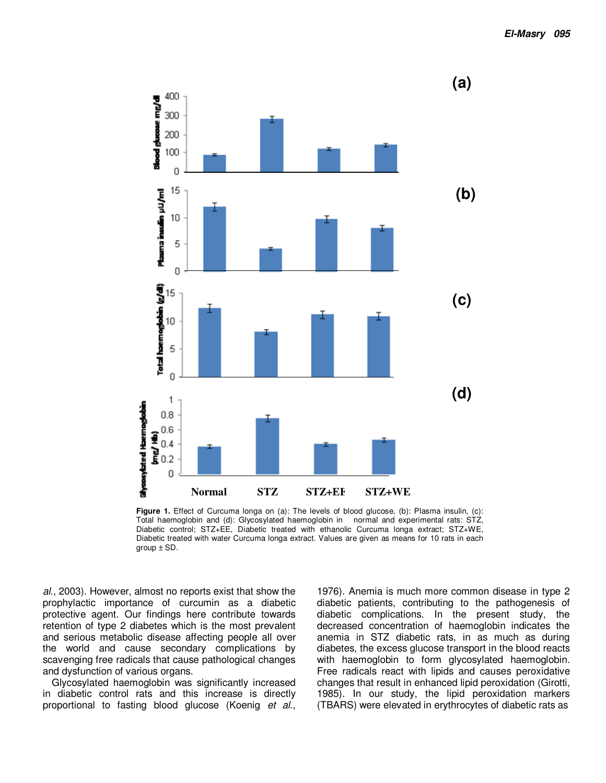

Figure 1. Effect of Curcuma longa on (a): The levels of blood glucose, (b): Plasma insulin, (c): Total haemoglobin and (d): Glycosylated haemoglobin in normal and experimental rats: STZ, Diabetic control; STZ+EE, Diabetic treated with ethanolic Curcuma longa extract; STZ+WE, Diabetic treated with water Curcuma longa extract. Values are given as means for 10 rats in each group  $\pm$  SD.

al., 2003). However, almost no reports exist that show the prophylactic importance of curcumin as a diabetic protective agent. Our findings here contribute towards retention of type 2 diabetes which is the most prevalent and serious metabolic disease affecting people all over the world and cause secondary complications by scavenging free radicals that cause pathological changes and dysfunction of various organs.

Glycosylated haemoglobin was significantly increased in diabetic control rats and this increase is directly proportional to fasting blood glucose (Koenig et al.,

1976). Anemia is much more common disease in type 2 diabetic patients, contributing to the pathogenesis of diabetic complications. In the present study, the decreased concentration of haemoglobin indicates the anemia in STZ diabetic rats, in as much as during diabetes, the excess glucose transport in the blood reacts with haemoglobin to form glycosylated haemoglobin. Free radicals react with lipids and causes peroxidative changes that result in enhanced lipid peroxidation (Girotti, 1985). In our study, the lipid peroxidation markers (TBARS) were elevated in erythrocytes of diabetic rats as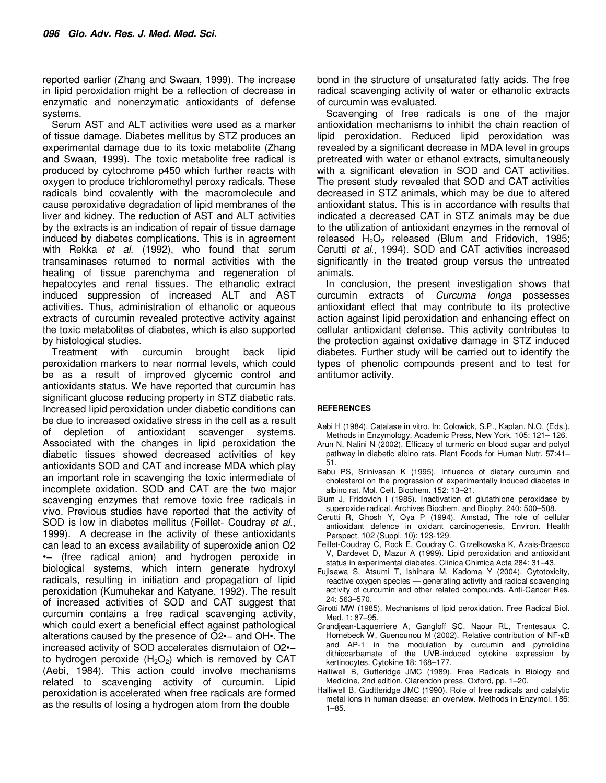reported earlier (Zhang and Swaan, 1999). The increase in lipid peroxidation might be a reflection of decrease in enzymatic and nonenzymatic antioxidants of defense systems.

Serum AST and ALT activities were used as a marker of tissue damage. Diabetes mellitus by STZ produces an experimental damage due to its toxic metabolite (Zhang and Swaan, 1999). The toxic metabolite free radical is produced by cytochrome p450 which further reacts with oxygen to produce trichloromethyl peroxy radicals. These radicals bind covalently with the macromolecule and cause peroxidative degradation of lipid membranes of the liver and kidney. The reduction of AST and ALT activities by the extracts is an indication of repair of tissue damage induced by diabetes complications. This is in agreement with Rekka et al. (1992), who found that serum transaminases returned to normal activities with the healing of tissue parenchyma and regeneration of hepatocytes and renal tissues. The ethanolic extract induced suppression of increased ALT and AST activities. Thus, administration of ethanolic or aqueous extracts of curcumin revealed protective activity against the toxic metabolites of diabetes, which is also supported by histological studies.

Treatment with curcumin brought back lipid peroxidation markers to near normal levels, which could be as a result of improved glycemic control and antioxidants status. We have reported that curcumin has significant glucose reducing property in STZ diabetic rats. Increased lipid peroxidation under diabetic conditions can be due to increased oxidative stress in the cell as a result of depletion of antioxidant scavenger systems. Associated with the changes in lipid peroxidation the diabetic tissues showed decreased activities of key antioxidants SOD and CAT and increase MDA which play an important role in scavenging the toxic intermediate of incomplete oxidation. SOD and CAT are the two major scavenging enzymes that remove toxic free radicals in vivo. Previous studies have reported that the activity of SOD is low in diabetes mellitus (Feillet- Coudray et al., 1999). A decrease in the activity of these antioxidants can lead to an excess availability of superoxide anion O2 •− (free radical anion) and hydrogen peroxide in biological systems, which intern generate hydroxyl radicals, resulting in initiation and propagation of lipid peroxidation (Kumuhekar and Katyane, 1992). The result of increased activities of SOD and CAT suggest that curcumin contains a free radical scavenging activity, which could exert a beneficial effect against pathological alterations caused by the presence of O2•− and OH•. The increased activity of SOD accelerates dismutaion of O2•− to hydrogen peroxide  $(H_2O_2)$  which is removed by CAT (Aebi, 1984). This action could involve mechanisms related to scavenging activity of curcumin. Lipid peroxidation is accelerated when free radicals are formed as the results of losing a hydrogen atom from the double

bond in the structure of unsaturated fatty acids. The free radical scavenging activity of water or ethanolic extracts of curcumin was evaluated.

Scavenging of free radicals is one of the major antioxidation mechanisms to inhibit the chain reaction of lipid peroxidation. Reduced lipid peroxidation was revealed by a significant decrease in MDA level in groups pretreated with water or ethanol extracts, simultaneously with a significant elevation in SOD and CAT activities. The present study revealed that SOD and CAT activities decreased in STZ animals, which may be due to altered antioxidant status. This is in accordance with results that indicated a decreased CAT in STZ animals may be due to the utilization of antioxidant enzymes in the removal of released  $H_2O_2$  released (Blum and Fridovich, 1985; Cerutti et al., 1994). SOD and CAT activities increased significantly in the treated group versus the untreated animals.

In conclusion, the present investigation shows that curcumin extracts of Curcuma longa possesses antioxidant effect that may contribute to its protective action against lipid peroxidation and enhancing effect on cellular antioxidant defense. This activity contributes to the protection against oxidative damage in STZ induced diabetes. Further study will be carried out to identify the types of phenolic compounds present and to test for antitumor activity.

#### **REFERENCES**

- Aebi H (1984). Catalase in vitro. In: Colowick, S.P., Kaplan, N.O. (Eds.), Methods in Enzymology, Academic Press, New York. 105: 121– 126.
- Arun N, Nalini N (2002). Efficacy of turmeric on blood sugar and polyol pathway in diabetic albino rats. Plant Foods for Human Nutr. 57:41– 51.
- Babu PS, Srinivasan K (1995). Influence of dietary curcumin and cholesterol on the progression of experimentally induced diabetes in albino rat. Mol. Cell. Biochem. 152: 13–21.
- Blum J, Fridovich I (1985). Inactivation of glutathione peroxidase by superoxide radical. Archives Biochem. and Biophy. 240: 500–508.
- Cerutti R, Ghosh Y, Oya P (1994). Amstad, The role of cellular antioxidant defence in oxidant carcinogenesis, Environ. Health Perspect. 102 (Suppl. 10): 123-129.
- Feillet-Coudray C, Rock E, Coudray C, Grzelkowska K, Azais-Braesco V, Dardevet D, Mazur A (1999). Lipid peroxidation and antioxidant status in experimental diabetes. Clinica Chimica Acta 284: 31–43.
- Fujisawa S, Atsumi T, Ishihara M, Kadoma Y (2004). Cytotoxicity, reactive oxygen species — generating activity and radical scavenging activity of curcumin and other related compounds. Anti-Cancer Res. 24: 563–570.
- Girotti MW (1985). Mechanisms of lipid peroxidation. Free Radical Biol. Med. 1: 87–95.
- Grandjean-Laquerriere A, Gangloff SC, Naour RL, Trentesaux C, Hornebeck W, Guenounou M (2002). Relative contribution of NF-κB and AP-1 in the modulation by curcumin and pyrrolidine dithiocarbamate of the UVB-induced cytokine expression by kertinocytes. Cytokine 18: 168–177.
- Halliwell B, Gutteridge JMC (1989). Free Radicals in Biology and Medicine, 2nd edition. Clarendon press, Oxford, pp. 1–20.
- Halliwell B, Gudtteridge JMC (1990). Role of free radicals and catalytic metal ions in human disease: an overview. Methods in Enzymol. 186: 1–85.